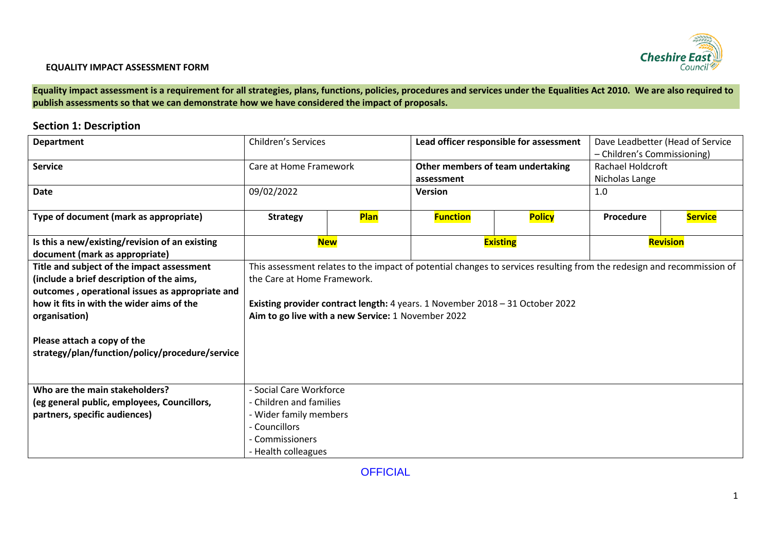

**Equality impact assessment is a requirement for all strategies, plans, functions, policies, procedures and services under the Equalities Act 2010. We are also required to publish assessments so that we can demonstrate how we have considered the impact of proposals.** 

## **Section 1: Description**

| <b>Department</b>                                                                | <b>Children's Services</b><br>Lead officer responsible for assessment |      | Dave Leadbetter (Head of Service                                              |                                                                                                                        |                             |                |
|----------------------------------------------------------------------------------|-----------------------------------------------------------------------|------|-------------------------------------------------------------------------------|------------------------------------------------------------------------------------------------------------------------|-----------------------------|----------------|
|                                                                                  |                                                                       |      |                                                                               |                                                                                                                        | - Children's Commissioning) |                |
| <b>Service</b>                                                                   | Care at Home Framework                                                |      |                                                                               | Other members of team undertaking                                                                                      | <b>Rachael Holdcroft</b>    |                |
|                                                                                  |                                                                       |      | assessment                                                                    |                                                                                                                        | Nicholas Lange              |                |
| <b>Date</b>                                                                      | 09/02/2022                                                            |      | <b>Version</b>                                                                |                                                                                                                        | 1.0                         |                |
| Type of document (mark as appropriate)                                           | <b>Strategy</b>                                                       | Plan | <b>Function</b><br><b>Policy</b>                                              |                                                                                                                        | Procedure                   | <b>Service</b> |
| Is this a new/existing/revision of an existing<br>document (mark as appropriate) | <b>New</b>                                                            |      |                                                                               | <b>Existing</b>                                                                                                        | Revision                    |                |
| Title and subject of the impact assessment                                       |                                                                       |      |                                                                               | This assessment relates to the impact of potential changes to services resulting from the redesign and recommission of |                             |                |
| (include a brief description of the aims,                                        | the Care at Home Framework.                                           |      |                                                                               |                                                                                                                        |                             |                |
| outcomes, operational issues as appropriate and                                  |                                                                       |      |                                                                               |                                                                                                                        |                             |                |
| how it fits in with the wider aims of the                                        |                                                                       |      | Existing provider contract length: 4 years. 1 November 2018 - 31 October 2022 |                                                                                                                        |                             |                |
| organisation)                                                                    | Aim to go live with a new Service: 1 November 2022                    |      |                                                                               |                                                                                                                        |                             |                |
|                                                                                  |                                                                       |      |                                                                               |                                                                                                                        |                             |                |
| Please attach a copy of the                                                      |                                                                       |      |                                                                               |                                                                                                                        |                             |                |
| strategy/plan/function/policy/procedure/service                                  |                                                                       |      |                                                                               |                                                                                                                        |                             |                |
|                                                                                  |                                                                       |      |                                                                               |                                                                                                                        |                             |                |
| Who are the main stakeholders?                                                   | - Social Care Workforce                                               |      |                                                                               |                                                                                                                        |                             |                |
| (eg general public, employees, Councillors,                                      | - Children and families                                               |      |                                                                               |                                                                                                                        |                             |                |
| partners, specific audiences)                                                    | - Wider family members                                                |      |                                                                               |                                                                                                                        |                             |                |
|                                                                                  | - Councillors                                                         |      |                                                                               |                                                                                                                        |                             |                |
|                                                                                  | - Commissioners                                                       |      |                                                                               |                                                                                                                        |                             |                |
|                                                                                  | - Health colleagues                                                   |      |                                                                               |                                                                                                                        |                             |                |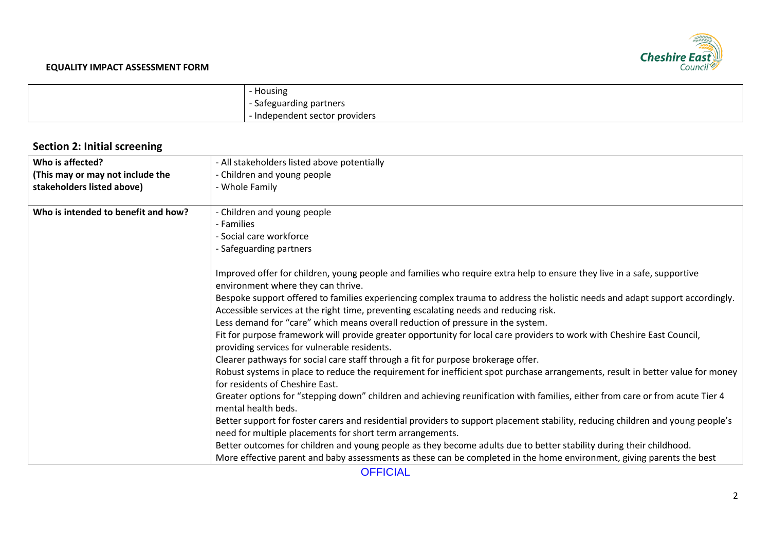

| Housing                      |
|------------------------------|
| - Safeguarding partners      |
| Independent sector providers |

# **Section 2: Initial screening**

| Who is affected?                    | - All stakeholders listed above potentially                                                                                     |
|-------------------------------------|---------------------------------------------------------------------------------------------------------------------------------|
| (This may or may not include the    | - Children and young people                                                                                                     |
| stakeholders listed above)          | - Whole Family                                                                                                                  |
|                                     |                                                                                                                                 |
| Who is intended to benefit and how? | - Children and young people                                                                                                     |
|                                     | - Families                                                                                                                      |
|                                     | - Social care workforce                                                                                                         |
|                                     | - Safeguarding partners                                                                                                         |
|                                     |                                                                                                                                 |
|                                     | Improved offer for children, young people and families who require extra help to ensure they live in a safe, supportive         |
|                                     | environment where they can thrive.                                                                                              |
|                                     | Bespoke support offered to families experiencing complex trauma to address the holistic needs and adapt support accordingly.    |
|                                     | Accessible services at the right time, preventing escalating needs and reducing risk.                                           |
|                                     | Less demand for "care" which means overall reduction of pressure in the system.                                                 |
|                                     | Fit for purpose framework will provide greater opportunity for local care providers to work with Cheshire East Council,         |
|                                     | providing services for vulnerable residents.                                                                                    |
|                                     | Clearer pathways for social care staff through a fit for purpose brokerage offer.                                               |
|                                     | Robust systems in place to reduce the requirement for inefficient spot purchase arrangements, result in better value for money  |
|                                     | for residents of Cheshire East.                                                                                                 |
|                                     | Greater options for "stepping down" children and achieving reunification with families, either from care or from acute Tier 4   |
|                                     | mental health beds.                                                                                                             |
|                                     | Better support for foster carers and residential providers to support placement stability, reducing children and young people's |
|                                     | need for multiple placements for short term arrangements.                                                                       |
|                                     | Better outcomes for children and young people as they become adults due to better stability during their childhood.             |
|                                     |                                                                                                                                 |
|                                     | More effective parent and baby assessments as these can be completed in the home environment, giving parents the best           |

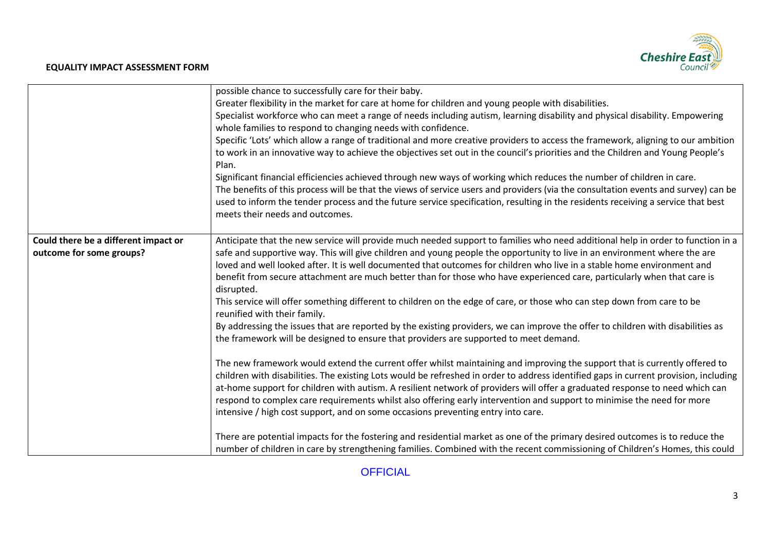# Cheshire East

#### **EQUALITY IMPACT ASSESSMENT FORM**

|                                                                  | possible chance to successfully care for their baby.<br>Greater flexibility in the market for care at home for children and young people with disabilities.<br>Specialist workforce who can meet a range of needs including autism, learning disability and physical disability. Empowering<br>whole families to respond to changing needs with confidence.<br>Specific 'Lots' which allow a range of traditional and more creative providers to access the framework, aligning to our ambition<br>to work in an innovative way to achieve the objectives set out in the council's priorities and the Children and Young People's<br>Plan.<br>Significant financial efficiencies achieved through new ways of working which reduces the number of children in care.<br>The benefits of this process will be that the views of service users and providers (via the consultation events and survey) can be<br>used to inform the tender process and the future service specification, resulting in the residents receiving a service that best                                                                                                                                                                                                                                                                                                                                                                                                                                                                                                                                                                                                                               |
|------------------------------------------------------------------|-----------------------------------------------------------------------------------------------------------------------------------------------------------------------------------------------------------------------------------------------------------------------------------------------------------------------------------------------------------------------------------------------------------------------------------------------------------------------------------------------------------------------------------------------------------------------------------------------------------------------------------------------------------------------------------------------------------------------------------------------------------------------------------------------------------------------------------------------------------------------------------------------------------------------------------------------------------------------------------------------------------------------------------------------------------------------------------------------------------------------------------------------------------------------------------------------------------------------------------------------------------------------------------------------------------------------------------------------------------------------------------------------------------------------------------------------------------------------------------------------------------------------------------------------------------------------------------------------------------------------------------------------------------------------------|
|                                                                  | meets their needs and outcomes.                                                                                                                                                                                                                                                                                                                                                                                                                                                                                                                                                                                                                                                                                                                                                                                                                                                                                                                                                                                                                                                                                                                                                                                                                                                                                                                                                                                                                                                                                                                                                                                                                                             |
| Could there be a different impact or<br>outcome for some groups? | Anticipate that the new service will provide much needed support to families who need additional help in order to function in a<br>safe and supportive way. This will give children and young people the opportunity to live in an environment where the are<br>loved and well looked after. It is well documented that outcomes for children who live in a stable home environment and<br>benefit from secure attachment are much better than for those who have experienced care, particularly when that care is<br>disrupted.<br>This service will offer something different to children on the edge of care, or those who can step down from care to be<br>reunified with their family.<br>By addressing the issues that are reported by the existing providers, we can improve the offer to children with disabilities as<br>the framework will be designed to ensure that providers are supported to meet demand.<br>The new framework would extend the current offer whilst maintaining and improving the support that is currently offered to<br>children with disabilities. The existing Lots would be refreshed in order to address identified gaps in current provision, including<br>at-home support for children with autism. A resilient network of providers will offer a graduated response to need which can<br>respond to complex care requirements whilst also offering early intervention and support to minimise the need for more<br>intensive / high cost support, and on some occasions preventing entry into care.<br>There are potential impacts for the fostering and residential market as one of the primary desired outcomes is to reduce the |
|                                                                  | number of children in care by strengthening families. Combined with the recent commissioning of Children's Homes, this could                                                                                                                                                                                                                                                                                                                                                                                                                                                                                                                                                                                                                                                                                                                                                                                                                                                                                                                                                                                                                                                                                                                                                                                                                                                                                                                                                                                                                                                                                                                                                |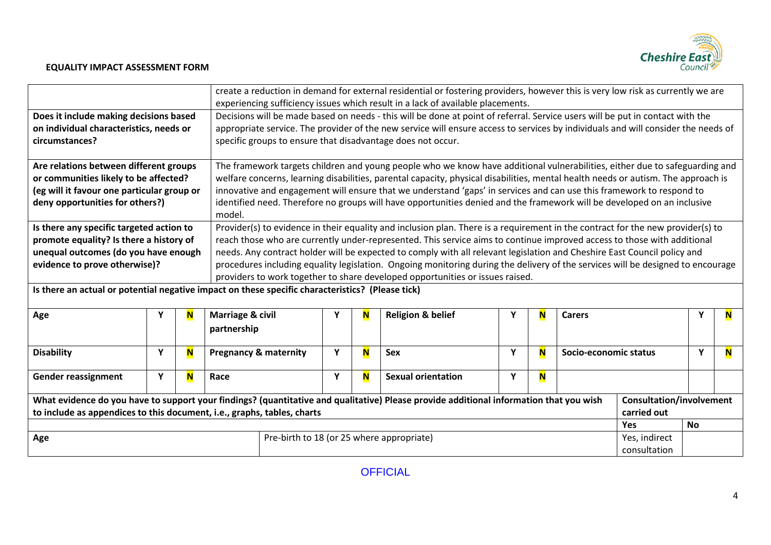

|                                                                                                                                                                                                                   |                                                                                                                                                                                                                                                                                                                                                                                                                                                                                                                                                                                                                                                                                                                                                                                                                                                                                |   |                                                                                                                                                                                                                                                                                                                                                                                                                                                                                                                               | create a reduction in demand for external residential or fostering providers, however this is very low risk as currently we are<br>experiencing sufficiency issues which result in a lack of available placements. |                                      |                              |   |   |                       |                                                |   |   |
|-------------------------------------------------------------------------------------------------------------------------------------------------------------------------------------------------------------------|--------------------------------------------------------------------------------------------------------------------------------------------------------------------------------------------------------------------------------------------------------------------------------------------------------------------------------------------------------------------------------------------------------------------------------------------------------------------------------------------------------------------------------------------------------------------------------------------------------------------------------------------------------------------------------------------------------------------------------------------------------------------------------------------------------------------------------------------------------------------------------|---|-------------------------------------------------------------------------------------------------------------------------------------------------------------------------------------------------------------------------------------------------------------------------------------------------------------------------------------------------------------------------------------------------------------------------------------------------------------------------------------------------------------------------------|--------------------------------------------------------------------------------------------------------------------------------------------------------------------------------------------------------------------|--------------------------------------|------------------------------|---|---|-----------------------|------------------------------------------------|---|---|
| Does it include making decisions based<br>on individual characteristics, needs or<br>circumstances?                                                                                                               | Decisions will be made based on needs - this will be done at point of referral. Service users will be put in contact with the<br>appropriate service. The provider of the new service will ensure access to services by individuals and will consider the needs of<br>specific groups to ensure that disadvantage does not occur.                                                                                                                                                                                                                                                                                                                                                                                                                                                                                                                                              |   |                                                                                                                                                                                                                                                                                                                                                                                                                                                                                                                               |                                                                                                                                                                                                                    |                                      |                              |   |   |                       |                                                |   |   |
| Are relations between different groups<br>or communities likely to be affected?<br>(eg will it favour one particular group or<br>deny opportunities for others?)                                                  |                                                                                                                                                                                                                                                                                                                                                                                                                                                                                                                                                                                                                                                                                                                                                                                                                                                                                |   | The framework targets children and young people who we know have additional vulnerabilities, either due to safeguarding and<br>welfare concerns, learning disabilities, parental capacity, physical disabilities, mental health needs or autism. The approach is<br>innovative and engagement will ensure that we understand 'gaps' in services and can use this framework to respond to<br>identified need. Therefore no groups will have opportunities denied and the framework will be developed on an inclusive<br>model. |                                                                                                                                                                                                                    |                                      |                              |   |   |                       |                                                |   |   |
|                                                                                                                                                                                                                   | Provider(s) to evidence in their equality and inclusion plan. There is a requirement in the contract for the new provider(s) to<br>Is there any specific targeted action to<br>promote equality? Is there a history of<br>reach those who are currently under-represented. This service aims to continue improved access to those with additional<br>unequal outcomes (do you have enough<br>needs. Any contract holder will be expected to comply with all relevant legislation and Cheshire East Council policy and<br>procedures including equality legislation. Ongoing monitoring during the delivery of the services will be designed to encourage<br>evidence to prove otherwise)?<br>providers to work together to share developed opportunities or issues raised.<br>Is there an actual or potential negative impact on these specific characteristics? (Please tick) |   |                                                                                                                                                                                                                                                                                                                                                                                                                                                                                                                               |                                                                                                                                                                                                                    |                                      |                              |   |   |                       |                                                |   |   |
| Age                                                                                                                                                                                                               | Υ                                                                                                                                                                                                                                                                                                                                                                                                                                                                                                                                                                                                                                                                                                                                                                                                                                                                              | N | <b>Marriage &amp; civil</b><br>partnership                                                                                                                                                                                                                                                                                                                                                                                                                                                                                    |                                                                                                                                                                                                                    | N                                    | <b>Religion &amp; belief</b> | N | N | <b>Carers</b>         |                                                |   | N |
| <b>Disability</b>                                                                                                                                                                                                 | Y                                                                                                                                                                                                                                                                                                                                                                                                                                                                                                                                                                                                                                                                                                                                                                                                                                                                              | N | <b>Pregnancy &amp; maternity</b>                                                                                                                                                                                                                                                                                                                                                                                                                                                                                              | Y                                                                                                                                                                                                                  | $\overline{\mathsf{N}}$              | <b>Sex</b>                   | Y | N | Socio-economic status |                                                | Υ | N |
| <b>Gender reassignment</b>                                                                                                                                                                                        | Y                                                                                                                                                                                                                                                                                                                                                                                                                                                                                                                                                                                                                                                                                                                                                                                                                                                                              | N | Race                                                                                                                                                                                                                                                                                                                                                                                                                                                                                                                          | Y                                                                                                                                                                                                                  | N                                    | <b>Sexual orientation</b>    | Y | N |                       |                                                |   |   |
| What evidence do you have to support your findings? (quantitative and qualitative) Please provide additional information that you wish<br>to include as appendices to this document, i.e., graphs, tables, charts |                                                                                                                                                                                                                                                                                                                                                                                                                                                                                                                                                                                                                                                                                                                                                                                                                                                                                |   |                                                                                                                                                                                                                                                                                                                                                                                                                                                                                                                               |                                                                                                                                                                                                                    |                                      |                              |   |   |                       | <b>Consultation/involvement</b><br>carried out |   |   |
| Pre-birth to 18 (or 25 where appropriate)<br>Age                                                                                                                                                                  |                                                                                                                                                                                                                                                                                                                                                                                                                                                                                                                                                                                                                                                                                                                                                                                                                                                                                |   |                                                                                                                                                                                                                                                                                                                                                                                                                                                                                                                               |                                                                                                                                                                                                                    | Yes<br>Yes, indirect<br>consultation | <b>No</b>                    |   |   |                       |                                                |   |   |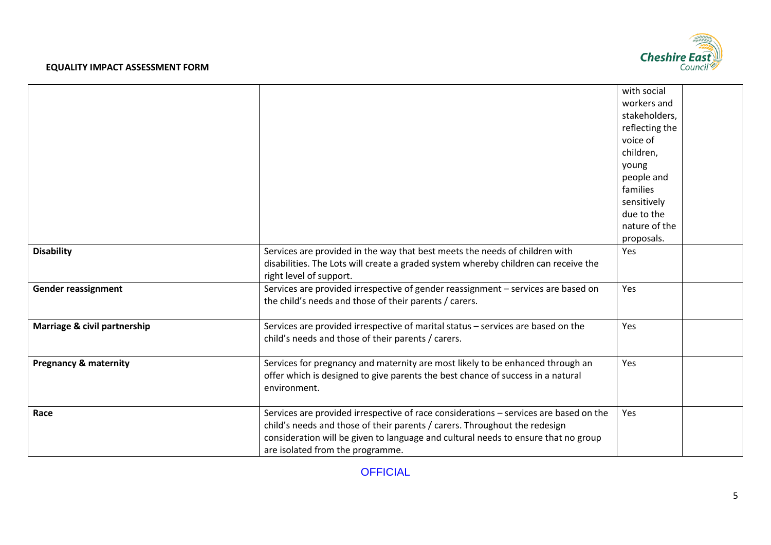

|                                  |                                                                                                                                                                   | with social    |  |
|----------------------------------|-------------------------------------------------------------------------------------------------------------------------------------------------------------------|----------------|--|
|                                  |                                                                                                                                                                   | workers and    |  |
|                                  |                                                                                                                                                                   | stakeholders,  |  |
|                                  |                                                                                                                                                                   | reflecting the |  |
|                                  |                                                                                                                                                                   | voice of       |  |
|                                  |                                                                                                                                                                   | children,      |  |
|                                  |                                                                                                                                                                   | young          |  |
|                                  |                                                                                                                                                                   | people and     |  |
|                                  |                                                                                                                                                                   | families       |  |
|                                  |                                                                                                                                                                   | sensitively    |  |
|                                  |                                                                                                                                                                   | due to the     |  |
|                                  |                                                                                                                                                                   | nature of the  |  |
|                                  |                                                                                                                                                                   | proposals.     |  |
| <b>Disability</b>                | Services are provided in the way that best meets the needs of children with                                                                                       | Yes            |  |
|                                  | disabilities. The Lots will create a graded system whereby children can receive the                                                                               |                |  |
|                                  | right level of support.                                                                                                                                           |                |  |
| <b>Gender reassignment</b>       | Services are provided irrespective of gender reassignment - services are based on                                                                                 | Yes            |  |
|                                  | the child's needs and those of their parents / carers.                                                                                                            |                |  |
|                                  |                                                                                                                                                                   |                |  |
| Marriage & civil partnership     | Services are provided irrespective of marital status - services are based on the                                                                                  | Yes            |  |
|                                  | child's needs and those of their parents / carers.                                                                                                                |                |  |
|                                  |                                                                                                                                                                   | Yes            |  |
| <b>Pregnancy &amp; maternity</b> | Services for pregnancy and maternity are most likely to be enhanced through an<br>offer which is designed to give parents the best chance of success in a natural |                |  |
|                                  | environment.                                                                                                                                                      |                |  |
|                                  |                                                                                                                                                                   |                |  |
| Race                             | Services are provided irrespective of race considerations - services are based on the                                                                             | Yes            |  |
|                                  | child's needs and those of their parents / carers. Throughout the redesign                                                                                        |                |  |
|                                  | consideration will be given to language and cultural needs to ensure that no group                                                                                |                |  |
|                                  | are isolated from the programme.                                                                                                                                  |                |  |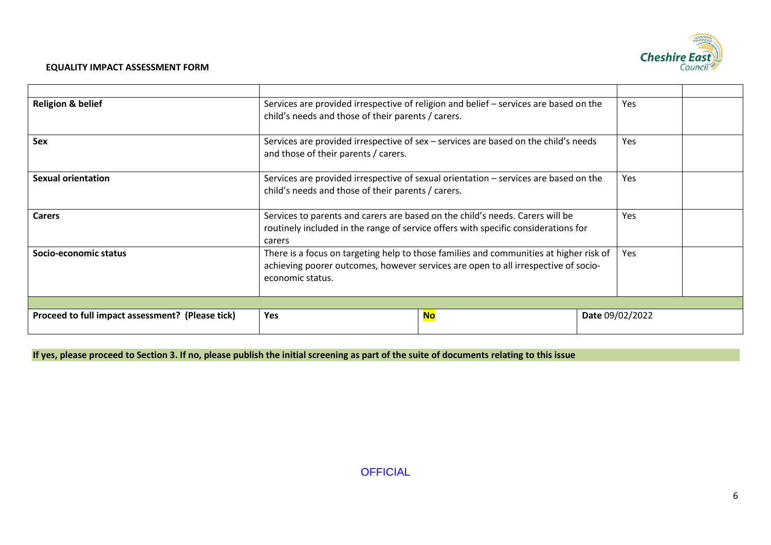

| Proceed to full impact assessment? (Please tick) | Yes                                                                                                                                                                                              | <b>No</b> |  | Date 09/02/2022 |  |
|--------------------------------------------------|--------------------------------------------------------------------------------------------------------------------------------------------------------------------------------------------------|-----------|--|-----------------|--|
| Socio-economic status                            | There is a focus on targeting help to those families and communities at higher risk of<br>achieving poorer outcomes, however services are open to all irrespective of socio-<br>economic status. |           |  | Yes.            |  |
| <b>Carers</b>                                    | Services to parents and carers are based on the child's needs. Carers will be<br>routinely included in the range of service offers with specific considerations for<br>carers                    | Yes       |  |                 |  |
| <b>Sexual orientation</b>                        | Services are provided irrespective of sexual orientation – services are based on the<br>child's needs and those of their parents / carers.                                                       |           |  | Yes.            |  |
| <b>Sex</b>                                       | Services are provided irrespective of sex - services are based on the child's needs<br>Yes.<br>and those of their parents / carers.                                                              |           |  |                 |  |
| <b>Religion &amp; belief</b>                     | Services are provided irrespective of religion and belief – services are based on the<br>child's needs and those of their parents / carers.                                                      |           |  |                 |  |
|                                                  |                                                                                                                                                                                                  |           |  |                 |  |

**If yes, please proceed to Section 3. If no, please publish the initial screening as part of the suite of documents relating to this issue**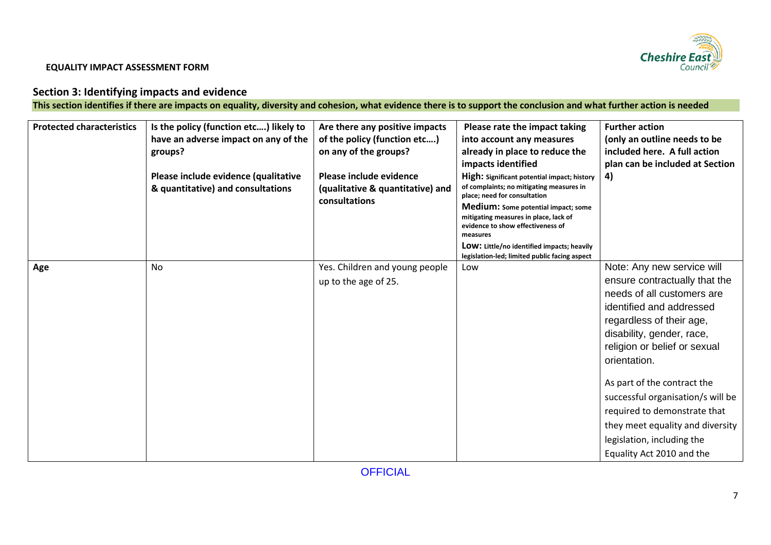

# **Section 3: Identifying impacts and evidence**

**This section identifies if there are impacts on equality, diversity and cohesion, what evidence there is to support the conclusion and what further action is needed**

| <b>Protected characteristics</b> | Is the policy (function etc) likely to<br>have an adverse impact on any of the<br>groups? | Are there any positive impacts<br>of the policy (function etc)<br>on any of the groups? | Please rate the impact taking<br>into account any measures<br>already in place to reduce the                                                                                                                                                                                   | <b>Further action</b><br>(only an outline needs to be<br>included here. A full action                                                                                                                                          |
|----------------------------------|-------------------------------------------------------------------------------------------|-----------------------------------------------------------------------------------------|--------------------------------------------------------------------------------------------------------------------------------------------------------------------------------------------------------------------------------------------------------------------------------|--------------------------------------------------------------------------------------------------------------------------------------------------------------------------------------------------------------------------------|
|                                  | Please include evidence (qualitative<br>& quantitative) and consultations                 | Please include evidence<br>(qualitative & quantitative) and<br>consultations            | impacts identified<br>High: Significant potential impact; history<br>of complaints; no mitigating measures in<br>place; need for consultation<br>Medium: Some potential impact; some<br>mitigating measures in place, lack of<br>evidence to show effectiveness of<br>measures | plan can be included at Section<br>4)                                                                                                                                                                                          |
|                                  |                                                                                           |                                                                                         | LOW: Little/no identified impacts; heavily<br>legislation-led; limited public facing aspect                                                                                                                                                                                    |                                                                                                                                                                                                                                |
| Age                              | No                                                                                        | Yes. Children and young people<br>up to the age of 25.                                  | Low                                                                                                                                                                                                                                                                            | Note: Any new service will<br>ensure contractually that the<br>needs of all customers are<br>identified and addressed<br>regardless of their age,<br>disability, gender, race,<br>religion or belief or sexual<br>orientation. |
|                                  |                                                                                           |                                                                                         |                                                                                                                                                                                                                                                                                | As part of the contract the<br>successful organisation/s will be<br>required to demonstrate that<br>they meet equality and diversity<br>legislation, including the<br>Equality Act 2010 and the                                |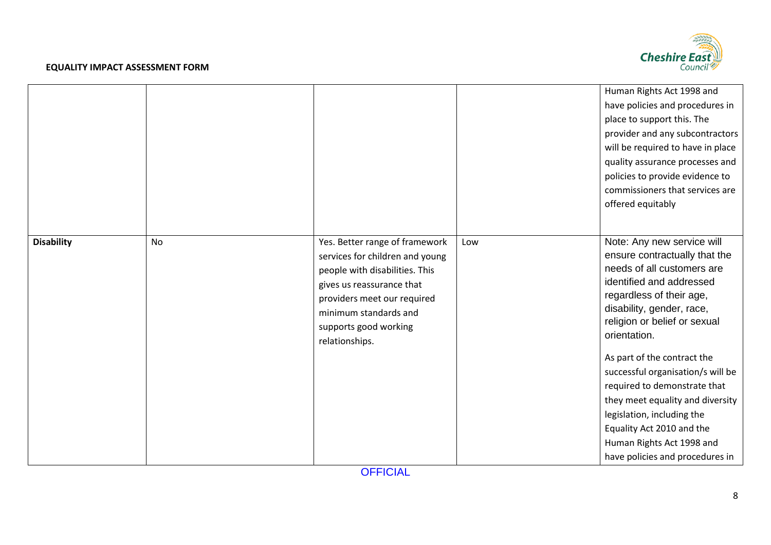

|                   |    |                                                                                                                                                                                                                                     |     | Human Rights Act 1998 and<br>have policies and procedures in<br>place to support this. The<br>provider and any subcontractors<br>will be required to have in place<br>quality assurance processes and<br>policies to provide evidence to<br>commissioners that services are<br>offered equitably                                                                                                                                                                                                  |
|-------------------|----|-------------------------------------------------------------------------------------------------------------------------------------------------------------------------------------------------------------------------------------|-----|---------------------------------------------------------------------------------------------------------------------------------------------------------------------------------------------------------------------------------------------------------------------------------------------------------------------------------------------------------------------------------------------------------------------------------------------------------------------------------------------------|
| <b>Disability</b> | No | Yes. Better range of framework<br>services for children and young<br>people with disabilities. This<br>gives us reassurance that<br>providers meet our required<br>minimum standards and<br>supports good working<br>relationships. | Low | Note: Any new service will<br>ensure contractually that the<br>needs of all customers are<br>identified and addressed<br>regardless of their age,<br>disability, gender, race,<br>religion or belief or sexual<br>orientation.<br>As part of the contract the<br>successful organisation/s will be<br>required to demonstrate that<br>they meet equality and diversity<br>legislation, including the<br>Equality Act 2010 and the<br>Human Rights Act 1998 and<br>have policies and procedures in |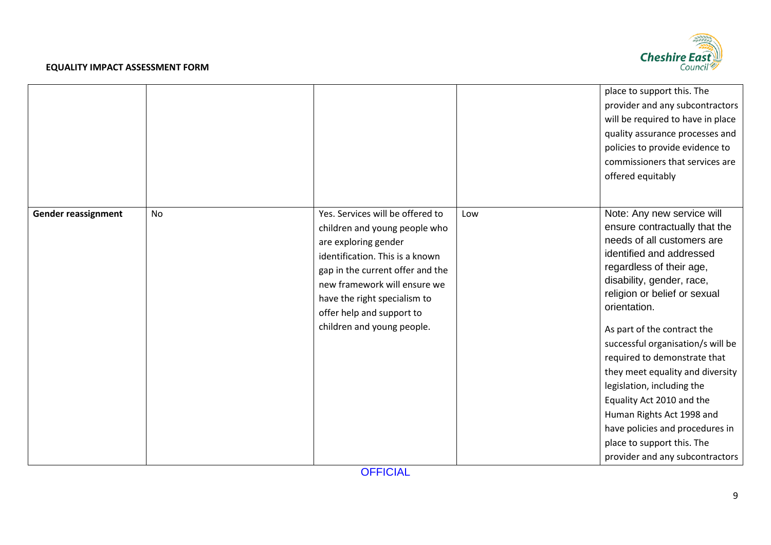

|                            |    |                                                                                                                                                                                                                                                         |     | place to support this. The<br>provider and any subcontractors<br>will be required to have in place<br>quality assurance processes and<br>policies to provide evidence to<br>commissioners that services are<br>offered equitably                                                                                                                                                                                                                                                                                                     |
|----------------------------|----|---------------------------------------------------------------------------------------------------------------------------------------------------------------------------------------------------------------------------------------------------------|-----|--------------------------------------------------------------------------------------------------------------------------------------------------------------------------------------------------------------------------------------------------------------------------------------------------------------------------------------------------------------------------------------------------------------------------------------------------------------------------------------------------------------------------------------|
| <b>Gender reassignment</b> | No | Yes. Services will be offered to                                                                                                                                                                                                                        | Low | Note: Any new service will                                                                                                                                                                                                                                                                                                                                                                                                                                                                                                           |
|                            |    | children and young people who<br>are exploring gender<br>identification. This is a known<br>gap in the current offer and the<br>new framework will ensure we<br>have the right specialism to<br>offer help and support to<br>children and young people. |     | ensure contractually that the<br>needs of all customers are<br>identified and addressed<br>regardless of their age,<br>disability, gender, race,<br>religion or belief or sexual<br>orientation.<br>As part of the contract the<br>successful organisation/s will be<br>required to demonstrate that<br>they meet equality and diversity<br>legislation, including the<br>Equality Act 2010 and the<br>Human Rights Act 1998 and<br>have policies and procedures in<br>place to support this. The<br>provider and any subcontractors |
|                            |    |                                                                                                                                                                                                                                                         |     |                                                                                                                                                                                                                                                                                                                                                                                                                                                                                                                                      |

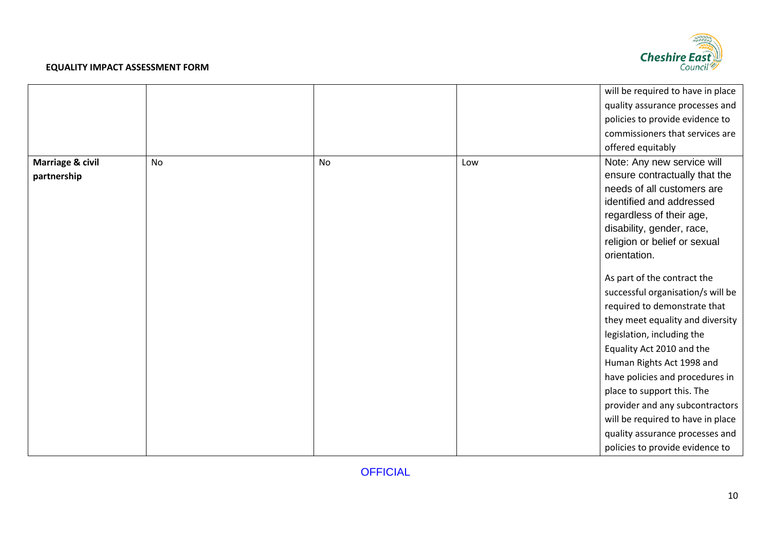

|                  |           |           |     | will be required to have in place |
|------------------|-----------|-----------|-----|-----------------------------------|
|                  |           |           |     | quality assurance processes and   |
|                  |           |           |     | policies to provide evidence to   |
|                  |           |           |     | commissioners that services are   |
|                  |           |           |     | offered equitably                 |
| Marriage & civil | <b>No</b> | <b>No</b> | Low | Note: Any new service will        |
| partnership      |           |           |     | ensure contractually that the     |
|                  |           |           |     | needs of all customers are        |
|                  |           |           |     | identified and addressed          |
|                  |           |           |     | regardless of their age,          |
|                  |           |           |     | disability, gender, race,         |
|                  |           |           |     | religion or belief or sexual      |
|                  |           |           |     | orientation.                      |
|                  |           |           |     | As part of the contract the       |
|                  |           |           |     | successful organisation/s will be |
|                  |           |           |     | required to demonstrate that      |
|                  |           |           |     | they meet equality and diversity  |
|                  |           |           |     | legislation, including the        |
|                  |           |           |     | Equality Act 2010 and the         |
|                  |           |           |     | Human Rights Act 1998 and         |
|                  |           |           |     | have policies and procedures in   |
|                  |           |           |     | place to support this. The        |
|                  |           |           |     | provider and any subcontractors   |
|                  |           |           |     | will be required to have in place |
|                  |           |           |     | quality assurance processes and   |
|                  |           |           |     | policies to provide evidence to   |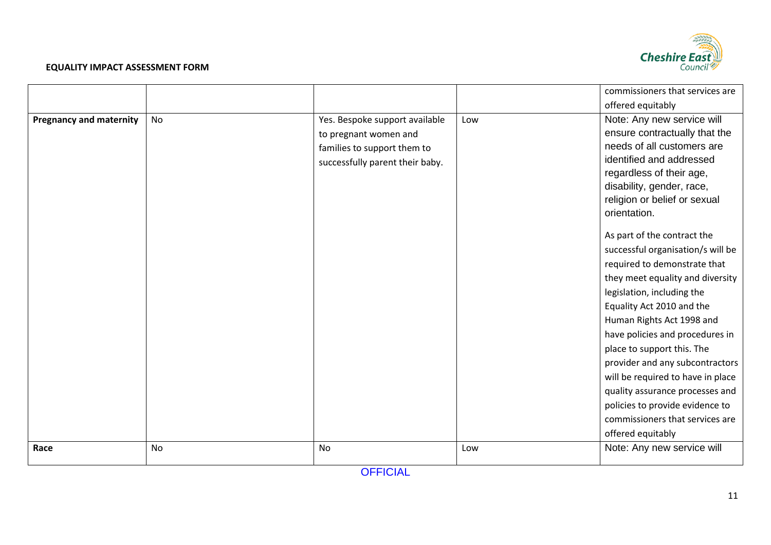

|                                |    |                                 |     | commissioners that services are   |
|--------------------------------|----|---------------------------------|-----|-----------------------------------|
|                                |    |                                 |     | offered equitably                 |
| <b>Pregnancy and maternity</b> | No | Yes. Bespoke support available  | Low | Note: Any new service will        |
|                                |    | to pregnant women and           |     | ensure contractually that the     |
|                                |    | families to support them to     |     | needs of all customers are        |
|                                |    | successfully parent their baby. |     | identified and addressed          |
|                                |    |                                 |     | regardless of their age,          |
|                                |    |                                 |     | disability, gender, race,         |
|                                |    |                                 |     | religion or belief or sexual      |
|                                |    |                                 |     | orientation.                      |
|                                |    |                                 |     | As part of the contract the       |
|                                |    |                                 |     | successful organisation/s will be |
|                                |    |                                 |     | required to demonstrate that      |
|                                |    |                                 |     | they meet equality and diversity  |
|                                |    |                                 |     | legislation, including the        |
|                                |    |                                 |     | Equality Act 2010 and the         |
|                                |    |                                 |     | Human Rights Act 1998 and         |
|                                |    |                                 |     | have policies and procedures in   |
|                                |    |                                 |     | place to support this. The        |
|                                |    |                                 |     | provider and any subcontractors   |
|                                |    |                                 |     | will be required to have in place |
|                                |    |                                 |     | quality assurance processes and   |
|                                |    |                                 |     | policies to provide evidence to   |
|                                |    |                                 |     | commissioners that services are   |
|                                |    |                                 |     | offered equitably                 |
| Race                           | No | No                              | Low | Note: Any new service will        |
|                                |    |                                 |     |                                   |

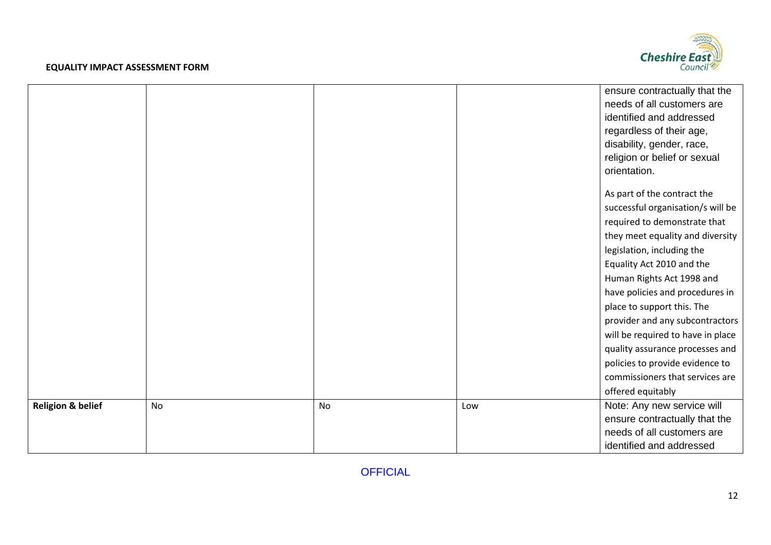

|                              |           |    |     | ensure contractually that the     |
|------------------------------|-----------|----|-----|-----------------------------------|
|                              |           |    |     | needs of all customers are        |
|                              |           |    |     | identified and addressed          |
|                              |           |    |     | regardless of their age,          |
|                              |           |    |     | disability, gender, race,         |
|                              |           |    |     | religion or belief or sexual      |
|                              |           |    |     | orientation.                      |
|                              |           |    |     |                                   |
|                              |           |    |     | As part of the contract the       |
|                              |           |    |     | successful organisation/s will be |
|                              |           |    |     | required to demonstrate that      |
|                              |           |    |     | they meet equality and diversity  |
|                              |           |    |     | legislation, including the        |
|                              |           |    |     | Equality Act 2010 and the         |
|                              |           |    |     | Human Rights Act 1998 and         |
|                              |           |    |     | have policies and procedures in   |
|                              |           |    |     | place to support this. The        |
|                              |           |    |     | provider and any subcontractors   |
|                              |           |    |     | will be required to have in place |
|                              |           |    |     | quality assurance processes and   |
|                              |           |    |     | policies to provide evidence to   |
|                              |           |    |     | commissioners that services are   |
|                              |           |    |     | offered equitably                 |
| <b>Religion &amp; belief</b> | <b>No</b> | No | Low | Note: Any new service will        |
|                              |           |    |     | ensure contractually that the     |
|                              |           |    |     | needs of all customers are        |
|                              |           |    |     | identified and addressed          |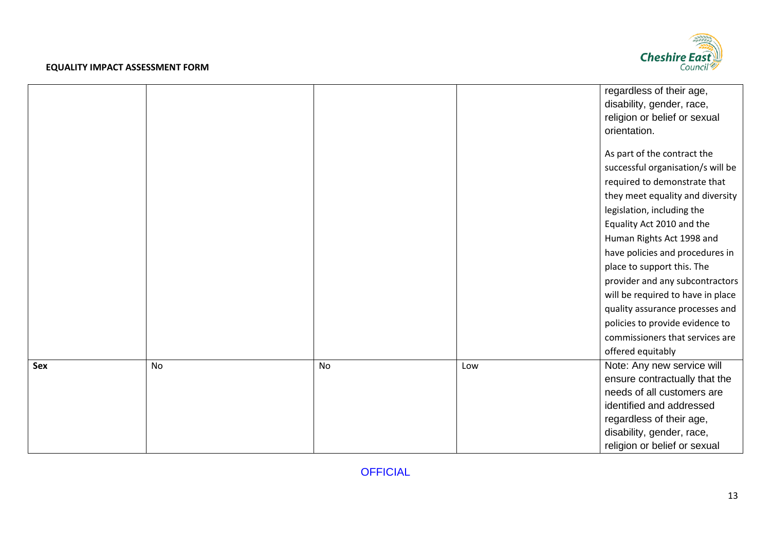

|     |           |    |     | regardless of their age,          |
|-----|-----------|----|-----|-----------------------------------|
|     |           |    |     | disability, gender, race,         |
|     |           |    |     | religion or belief or sexual      |
|     |           |    |     | orientation.                      |
|     |           |    |     |                                   |
|     |           |    |     | As part of the contract the       |
|     |           |    |     | successful organisation/s will be |
|     |           |    |     | required to demonstrate that      |
|     |           |    |     | they meet equality and diversity  |
|     |           |    |     | legislation, including the        |
|     |           |    |     | Equality Act 2010 and the         |
|     |           |    |     | Human Rights Act 1998 and         |
|     |           |    |     | have policies and procedures in   |
|     |           |    |     | place to support this. The        |
|     |           |    |     | provider and any subcontractors   |
|     |           |    |     | will be required to have in place |
|     |           |    |     | quality assurance processes and   |
|     |           |    |     | policies to provide evidence to   |
|     |           |    |     | commissioners that services are   |
|     |           |    |     | offered equitably                 |
| Sex | <b>No</b> | No | Low | Note: Any new service will        |
|     |           |    |     | ensure contractually that the     |
|     |           |    |     | needs of all customers are        |
|     |           |    |     | identified and addressed          |
|     |           |    |     | regardless of their age,          |
|     |           |    |     | disability, gender, race,         |
|     |           |    |     | religion or belief or sexual      |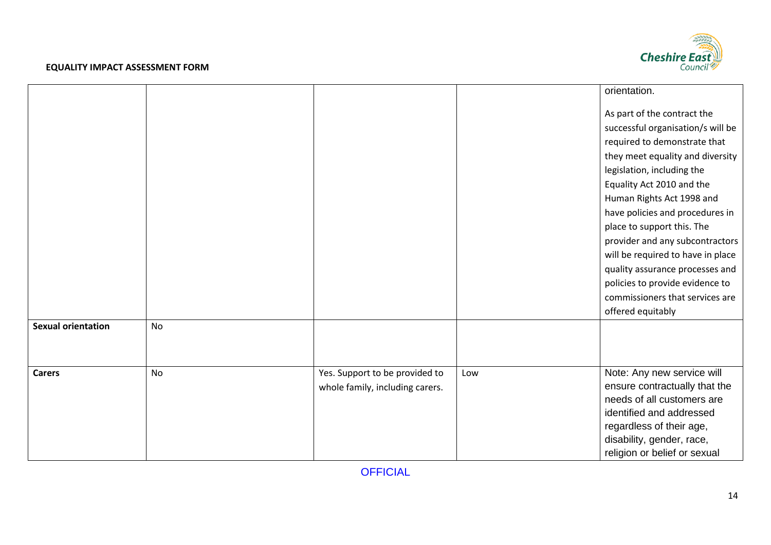

|                           |           |                                                                   |     | orientation.                                                                                                                                                                                                                                                                                                                                                                                                                                |
|---------------------------|-----------|-------------------------------------------------------------------|-----|---------------------------------------------------------------------------------------------------------------------------------------------------------------------------------------------------------------------------------------------------------------------------------------------------------------------------------------------------------------------------------------------------------------------------------------------|
|                           |           |                                                                   |     | As part of the contract the<br>successful organisation/s will be<br>required to demonstrate that<br>they meet equality and diversity<br>legislation, including the<br>Equality Act 2010 and the<br>Human Rights Act 1998 and<br>have policies and procedures in<br>place to support this. The<br>provider and any subcontractors<br>will be required to have in place<br>quality assurance processes and<br>policies to provide evidence to |
|                           |           |                                                                   |     | commissioners that services are                                                                                                                                                                                                                                                                                                                                                                                                             |
| <b>Sexual orientation</b> |           |                                                                   |     | offered equitably                                                                                                                                                                                                                                                                                                                                                                                                                           |
|                           | No        |                                                                   |     |                                                                                                                                                                                                                                                                                                                                                                                                                                             |
|                           |           |                                                                   |     |                                                                                                                                                                                                                                                                                                                                                                                                                                             |
| <b>Carers</b>             | <b>No</b> | Yes. Support to be provided to<br>whole family, including carers. | Low | Note: Any new service will<br>ensure contractually that the<br>needs of all customers are<br>identified and addressed<br>regardless of their age,<br>disability, gender, race,<br>religion or belief or sexual                                                                                                                                                                                                                              |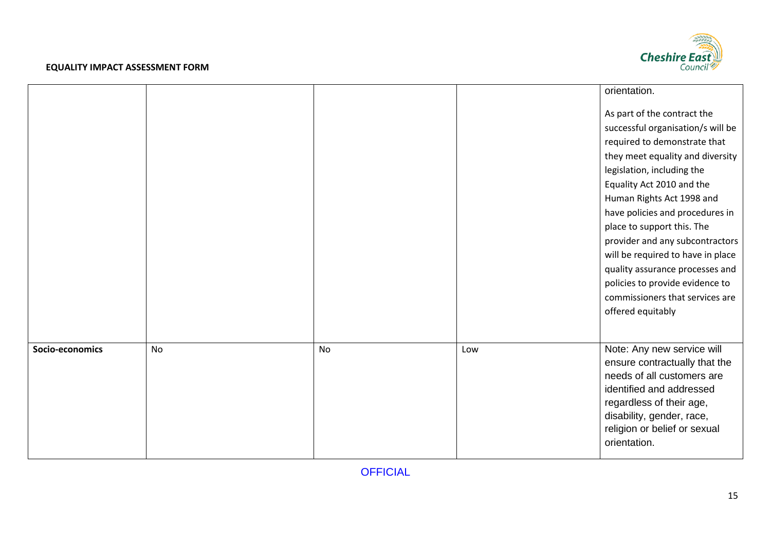

|                 |           |    |     | orientation.                      |
|-----------------|-----------|----|-----|-----------------------------------|
|                 |           |    |     | As part of the contract the       |
|                 |           |    |     | successful organisation/s will be |
|                 |           |    |     | required to demonstrate that      |
|                 |           |    |     | they meet equality and diversity  |
|                 |           |    |     | legislation, including the        |
|                 |           |    |     | Equality Act 2010 and the         |
|                 |           |    |     | Human Rights Act 1998 and         |
|                 |           |    |     | have policies and procedures in   |
|                 |           |    |     | place to support this. The        |
|                 |           |    |     | provider and any subcontractors   |
|                 |           |    |     | will be required to have in place |
|                 |           |    |     | quality assurance processes and   |
|                 |           |    |     | policies to provide evidence to   |
|                 |           |    |     | commissioners that services are   |
|                 |           |    |     | offered equitably                 |
|                 |           |    |     |                                   |
| Socio-economics | <b>No</b> | No | Low | Note: Any new service will        |
|                 |           |    |     | ensure contractually that the     |
|                 |           |    |     | needs of all customers are        |
|                 |           |    |     | identified and addressed          |
|                 |           |    |     | regardless of their age,          |
|                 |           |    |     | disability, gender, race,         |
|                 |           |    |     | religion or belief or sexual      |
|                 |           |    |     | orientation.                      |
|                 |           |    |     |                                   |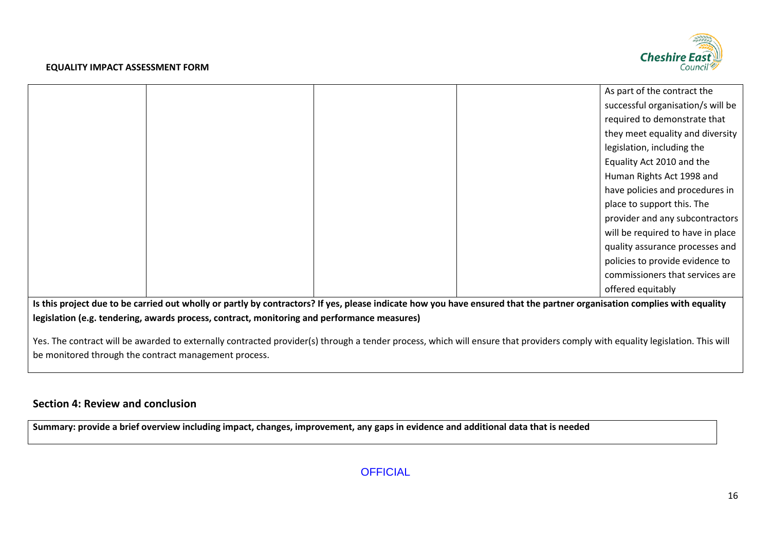

|  |  | As part of the contract the       |
|--|--|-----------------------------------|
|  |  | successful organisation/s will be |
|  |  | required to demonstrate that      |
|  |  | they meet equality and diversity  |
|  |  | legislation, including the        |
|  |  | Equality Act 2010 and the         |
|  |  | Human Rights Act 1998 and         |
|  |  | have policies and procedures in   |
|  |  | place to support this. The        |
|  |  | provider and any subcontractors   |
|  |  | will be required to have in place |
|  |  | quality assurance processes and   |
|  |  | policies to provide evidence to   |
|  |  | commissioners that services are   |
|  |  | offered equitably                 |

**Is this project due to be carried out wholly or partly by contractors? If yes, please indicate how you have ensured that the partner organisation complies with equality legislation (e.g. tendering, awards process, contract, monitoring and performance measures)**

Yes. The contract will be awarded to externally contracted provider(s) through a tender process, which will ensure that providers comply with equality legislation. This will be monitored through the contract management process.

# **Section 4: Review and conclusion**

**Summary: provide a brief overview including impact, changes, improvement, any gaps in evidence and additional data that is needed**